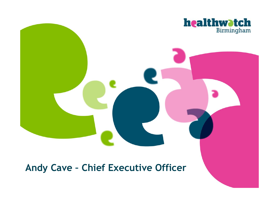

# **Andy Cave – Chief Executive Officer**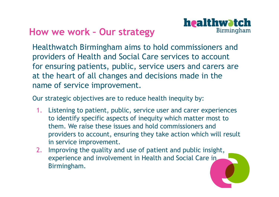

# **How we work – Our strategy**

Healthwatch Birmingham aims to hold commissioners and providers of Health and Social Care services to account for ensuring patients, public, service users and carers are at the heart of all changes and decisions made in the name of service improvement.

Our strategic objectives are to reduce health inequity by:

- 1. Listening to patient, public, service user and carer experiences to identify specific aspects of inequity which matter most to them. We raise these issues and hold commissioners and providers to account, ensuring they take action which will result in service improvement.
- 2. Improving the quality and use of patient and public insight, experience and involvement in Health and Social Care in Birmingham.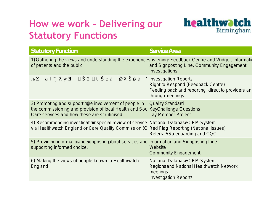# **How we work – Delivering our Statutory Functions**



| <b>Statutory Function</b>                                                                                                                                                                                | <b>Service Area</b>                                                                                                             |
|----------------------------------------------------------------------------------------------------------------------------------------------------------------------------------------------------------|---------------------------------------------------------------------------------------------------------------------------------|
| 1) Gathering the views and understanding the bisterniengerseedback Centre and Widget,<br>of patients and the public                                                                                      | and Signposting Line, Community Engage<br>Investigations                                                                        |
| $\rightarrow$<br>$\overline{U}$                                                                                                                                                                          | <b>Investigation Reports</b><br>Right to Respond (Feedback Centre)<br>Feeding back and reporting direct to pr<br>througheetings |
| 3) Promoting and supplet timolvement of peopleuality Standard<br>the commissioning and provision of local Heal KeyChallenge Questions<br>Care services and how these are scrutinised. Lay Member Project |                                                                                                                                 |
| 4) Recommending investigastionial review of s National DatabaSRM System<br>via Healthwatch England or Care Quality Com Red Flag Reporting (National Issues)                                              | ReferralSafeguarding and CQC                                                                                                    |
| 5) Providing informanding mposting out services<br>supporting informed choice.                                                                                                                           | Information and Signposting Line<br>Website<br>Community Engagement                                                             |
| 6) Making the views of people known to Hea National Databa SRM System<br>England                                                                                                                         | Regionalnd National Healthwatch Network<br>meetings<br><b>Investigation Reports</b>                                             |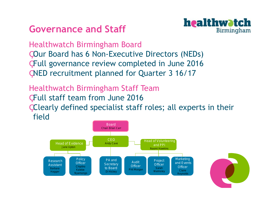# **Governance and Staff**



Healthwatch Birmingham Board

Our Board has 6 Non-Executive Directors (NEDs)

Full governance review completed in June 2016

NED recruitment planned for Quarter 3 16/17

Healthwatch Birmingham Staff Team

Full staff team from June 2016

Clearly defined specialist staff roles; all experts in their field



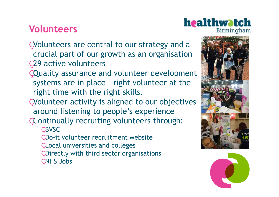# **Volunteers**

- Volunteers are central to our strategy and a crucial part of our growth as an organisation 29 active volunteers
- Quality assurance and volunteer development systems are in place – right volunteer at the right time with the right skills.
- Volunteer activity is aligned to our objectives around listening to people's experience
- Continually recruiting volunteers through: BVSC
	- Do-it volunteer recruitment website
	- Local universities and colleges
	- Directly with third sector organisations
	- NHS Jobs



healthwatch

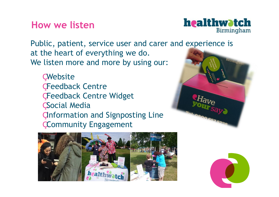## **How we listen**



Public, patient, service user and carer and experience is at the heart of everything we do. Birmingham We listen more and more by using our:

- Website
- Feedback Centre
- Feedback Centre Widget
- Social Media
- Information and Signposting Line
- Community Engagement



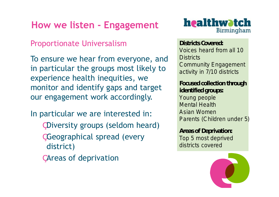# **How we listen - Engagement**

Proportionate Universalism

To ensure we hear from everyone, and in particular the groups most likely to experience health inequities, we monitor and identify gaps and target our engagement work accordingly.

In particular we are interested in:

- Diversity groups (seldom heard)
- Geographical spread (every district)
- Areas of deprivation



**Districts Covered:** Voices heard from all 10 **Districts** Community Engagement activity in 7/10 districts

**Focused collection through identified groups:** Young people Mental Health Asian Women Parents (Children under

**Areas of Deprivation:** Top 5 most deprived districts covered

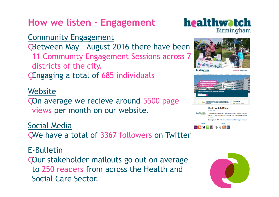# **How we listen - Engagement**

## Community Engagement

Between May – August 2016 there have been

- 11 Community Engagement Sessions across 7 districts of the city.
- Engaging a total of 685 individuals

## **Website**

On average we recieve around 5500 page views per month on our website.

## Social Media

We have a total of 3367 followers on Twitter

## E-Bulletin

Our stakeholder mailouts go out on average to 250 readers from across the Health and Social Care Sector.





**4 G D m** 

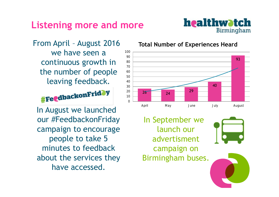# **Listening more and more**



From April – August 2016 we have seen a continuous growth in the number of people leaving feedback.

# **#Fe@dbackonFridOy**

In August we launched our #FeedbackonFriday campaign to encourage people to take 5 minutes to feedback about the services they have accessed.

#### **Total Number of Experiences Heard**



In September we launch our advertisment campaign on Birmingham buses.



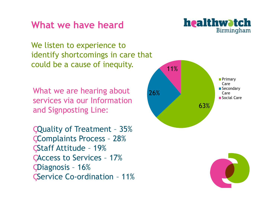# **What we have heard**



We listen to experience to identify shortcomings in care that could be a cause of inequity.

What we are hearing about services via our Information and Signposting Line:

Quality of Treatment – 35% Complaints Process – 28% Staff Attitude – 19% Access to Services – 17% Diagnosis – 16% Service Co-ordination – 11%



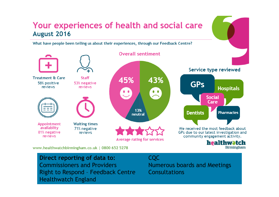## Your experiences of health and social care August 2016

What have people been telling us about their experiences, through our Feedback Centre?



www.healthwatchbirmingham.co.uk | 0800 652 5278

**Direct reporting of data to:** Commissioners and Providers Right to Respond – Feedback Centre Healthwatch England

CQC

Numerous boards and Meetings Consultations

**Birmingham**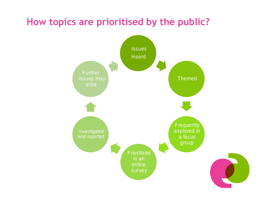# **How topics are prioritised by the public?**

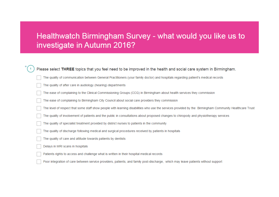## Healthwatch Birmingham Survey - what would you like us to investigate in Autumn 2016?

| Please select THREE topics that you feel need to be improved in the health and social care system in Birmingham.                                       |  |  |
|--------------------------------------------------------------------------------------------------------------------------------------------------------|--|--|
| The quality of communication between General Practitioners (your family doctor) and hospitals regarding patient's medical records                      |  |  |
| The quality of after care in audiology (hearing) departments                                                                                           |  |  |
| The ease of complaining to the Clinical Commissioning Groups (CCG) in Birmingham about health services they commission                                 |  |  |
| The ease of complaining to Birmingham City Council about social care providers they commission                                                         |  |  |
| The level of respect that some staff show people with learning disabilities who use the services provided by the Birmingham Community Healthcare Trust |  |  |
| The quality of involvement of patients and the public in consultations about proposed changes to chiropody and physiotherapy services                  |  |  |
| The quality of specialist treatment provided by district nurses to patients in the community                                                           |  |  |
| The quality of discharge following medical and surgical procedures received by patients in hospitals                                                   |  |  |
| The quality of care and attitude towards patients by dentists                                                                                          |  |  |
| Delays in MRI scans in hospitals                                                                                                                       |  |  |
| Patients rights to access and challenge what is written in their hospital medical records                                                              |  |  |
| Poor integration of care between service providers, patients, and family post-discharge, which may leave patients without support                      |  |  |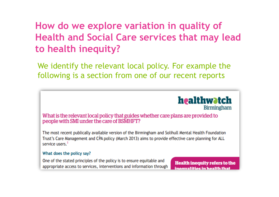# **How do we explore variation in quality of Health and Social Care services that may lead to health inequity?**

We identify the relevant local policy. For example the following is a section from one of our recent reports



What is the relevant local policy that guides whether care plans are provided to people with SMI under the care of BSMHFT?

The most recent publically available version of the Birmingham and Solihull Mental Health Foundation Trust's Care Management and CPA policy (March 2013) aims to provide effective care planning for ALL service users. $<sup>2</sup>$ </sup>

#### What does the policy say?

One of the stated principles of the policy is to ensure equitable and appropriate access to services, interventions and information through

**Health inequity refers to the** inegualities in health that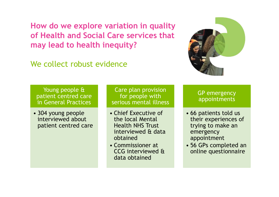**How do we explore variation in quality of Health and Social Care services that may lead to health inequity?**

We collect robust evidence



Young people & patient centred care in General Practices

• 304 young people interviewed about patient centred care

Care plan provision for people with serious mental illness

- Chief Executive of the local Mental Health NHS Trust interviewed & data obtained
- Commissioner at CCG interviewed & data obtained

GP emergency appointments

- 66 patients told us their experiences of trying to make an emergency appointment
- 56 GPs completed an online questionnaire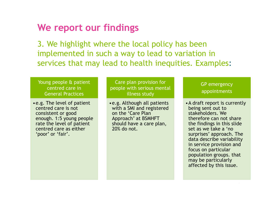## **We report our findings**

3. We highlight where the local policy has been implemented in such a way to lead to variation in services that may lead to health inequities. Examples:

Young people & patient centred care in General Practices

•e.g. The level of patient centred care is not consistent or good enough. 1:5 young people rate the level of patient centred care as either 'poor' or 'fair'.

Care plan provision for people with serious mental illness study

•e.g. Although all patients with a SMI and registered on the 'Care Plan Approach' at BSMHFT should have a care plan, 20% do not.

GP emergency appointments

•A draft report is currently being sent out to stakeholders. We therefore can not share the findings in this slide set as we take a 'no surprises' approach. The data describe variability in service provision and focus on particular population groups. that may be particularly affected by this issue.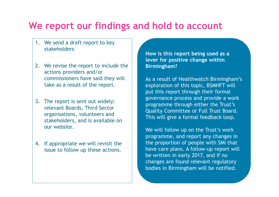# **We report our findings and hold to account**

- 1. We send a draft report to key stakeholders
- 2. We revise the report to include the actions providers and/or commissioners have said they will take as a result of the report.
- 3. The report is sent out widely: relevant Boards, Third Sector organisations, volunteers and stakeholders, and is available on our website.
- 4. If appropriate we will revisit the issue to follow up these actions.

**How is this report being used as a lever for positive change within Birmingham?** 

As a result of Healthwatch Birmingham's exploration of this topic, BSMHFT will put this report through their formal governance process and provide a work programme through either the Trust's Quality Committee or Full Trust Board. This will give a formal feedback loop.

We will follow up on the Trust's work programme, and report any changes in the proportion of people with SMI that have care plans. A follow-up report will be written in early 2017, and if no changes are found relevant regulatory bodies in Birmingham will be notified.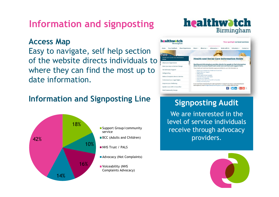# **Information and signposting**

### **Access Map**

Easy to navigate, self help section of the website directs individuals to where they can find the most up to date information.

## **Information and Signposting Line**







## **Signposting Audit**

We are interested in the level of service individuals receive through advocacy providers.

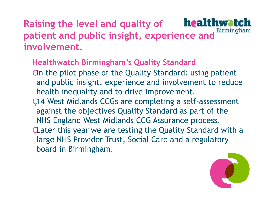# **Raising the level and quality of patient and public insight, experience and involvement.**

## **Healthwatch Birmingham's Quality Standard**

- "In the pilot phase of the Quality Standard: using patient and public insight, experience and involvement to reduce health inequality and to drive improvement.
- 14 West Midlands CCGs are completing a self-assessment against the objectives Quality Standard as part of the NHS England West Midlands CCG Assurance process.
- Later this year we are testing the Quality Standard with a large NHS Provider Trust, Social Care and a regulatory board in Birmingham.

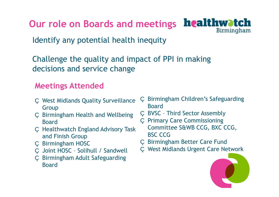**Our role on Boards and meetings**



Identify any potential health inequity

Challenge the quality and impact of PPI in making decisions and service change

## **Meetings Attended**

- West Midlands Quality Surveillance Group
- Birmingham Health and Wellbeing Board
- Healthwatch England Advisory Task and Finish Group
- Birmingham HOSC
- Joint HOSC Solihull / Sandwell
- Birmingham Adult Safeguarding Board

 Birmingham Children's Safeguarding Board

- BVSC Third Sector Assembly
- Primary Care Commissioning Committee S&WB CCG, BXC CCG, BSC CCG
- Birmingham Better Care Fund
- West Midlands Urgent Care Network

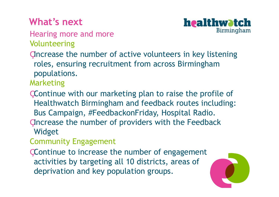# **What's next**



Hearing more and more Volunteering

"Increase the number of active volunteers in key listening roles, ensuring recruitment from across Birmingham populations.

Marketing

- Continue with our marketing plan to raise the profile of Healthwatch Birmingham and feedback routes including: Bus Campaign, #FeedbackonFriday, Hospital Radio.
- "Increase the number of providers with the Feedback Widget
- Community Engagement
- Continue to increase the number of engagement activities by targeting all 10 districts, areas of deprivation and key population groups.

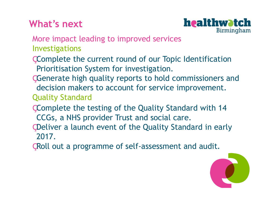# **What's next**



More impact leading to improved services Investigations

- Complete the current round of our Topic Identification Prioritisation System for investigation.
- Generate high quality reports to hold commissioners and decision makers to account for service improvement. Quality Standard
- Complete the testing of the Quality Standard with 14 CCGs, a NHS provider Trust and social care.
- Deliver a launch event of the Quality Standard in early 2017.
- Roll out a programme of self-assessment and audit.